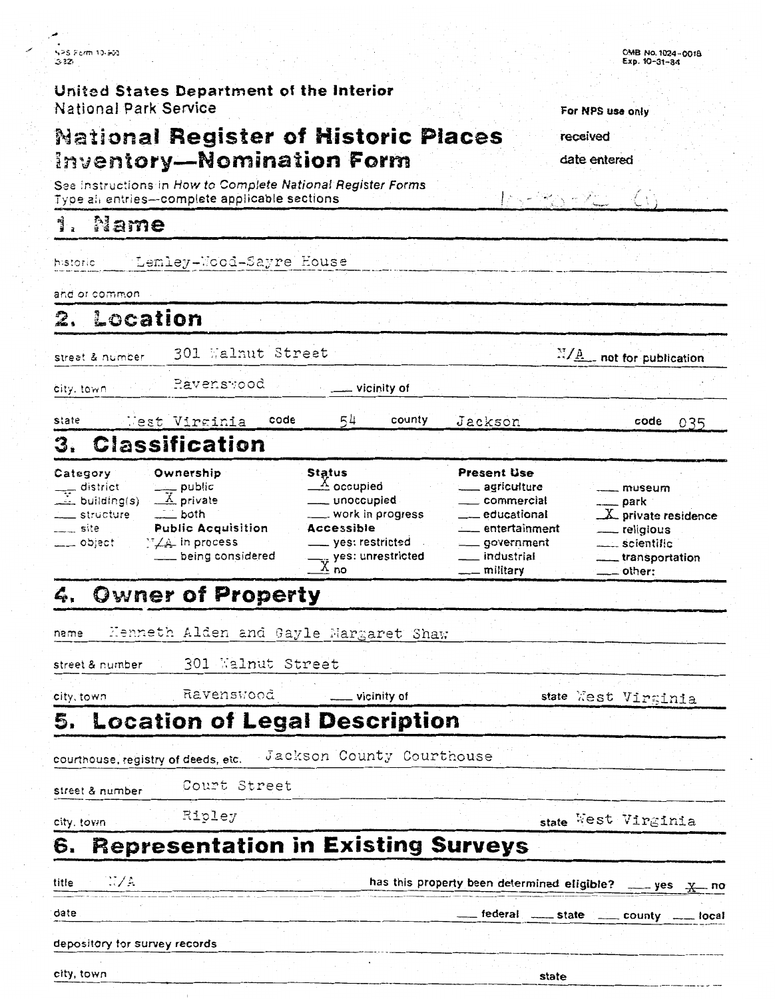|      | NPS Form 10-500 |
|------|-----------------|
| 3221 |                 |

United States Department of the Interior National Park Service

## **National Register of Historic Places Inventory-Nomination Form**

See Instructions in How to Complete National Register Forms Type all entries-complete applicable sections

#### Ą, Name

Lemley-Wood-Sayre House historic

and or common

2. Location

301 Walnut Street street & number

city, town

state

Pavensyood

 $-$  vicinity of

54 code county

Jackson

 $\frac{M/A}{A}$  not for publication

code 035

#### West Virginia **Classification** 3.

| Category                                         | Ownership                     | Status                          | <b>Present Use</b>          |                        |
|--------------------------------------------------|-------------------------------|---------------------------------|-----------------------------|------------------------|
|                                                  |                               | $\triangle$ occupied            | _____ agriculture           | <u></u> museum         |
| $\frac{1}{\sqrt{2}}$ district<br>and building(s) | $\frac{1}{\mathbf{X}}$ public | ___ unoccupied                  | ___ commercial              | ____ park              |
| <u>and</u> structure                             |                               | ____ work in progress           | educational.                | $X$ private residence  |
| $\frac{1}{2}$ site                               | <b>Public Acquisition</b>     | <b>Accessible</b>               | <sub>——</sub> entertainment | __ religious           |
| $\frac{1}{2}$ object                             | $\sqrt{4}$ in process         | yes: restricted                 | ____ government             | ____ scientific        |
|                                                  | being considered              | $\frac{1}{2}$ yes: unrestricted | __ industrial               | - transportation       |
|                                                  |                               | $\rightarrow$ no                | __ militarv                 | $\rule{1em}{0}$ other: |

#### **Owner of Property** 4.

Kenneth Alden and Gayle Margaret Shaw name

301 Walnut Street street & number

city, town

5.

Ravenswood

vicinity of **Location of Legal Description** 

Jackson County Courthouse courthouse, registry of deeds, etc.

Court Street street & number

city. town

city, town

Ripley

state West Virginia

state

state West Virsinia

### **Representation in Existing Surveys** 6.

| title | NGC 277A                      |  | has this property been determined eligible? ____ yes x_ no |                                                |  |
|-------|-------------------------------|--|------------------------------------------------------------|------------------------------------------------|--|
| date  |                               |  |                                                            | __ federal _____ state _____ county ____ local |  |
|       |                               |  |                                                            |                                                |  |
|       | depository for survey records |  |                                                            |                                                |  |

0MB No. 1024-0018

For NPS use only

received

date entered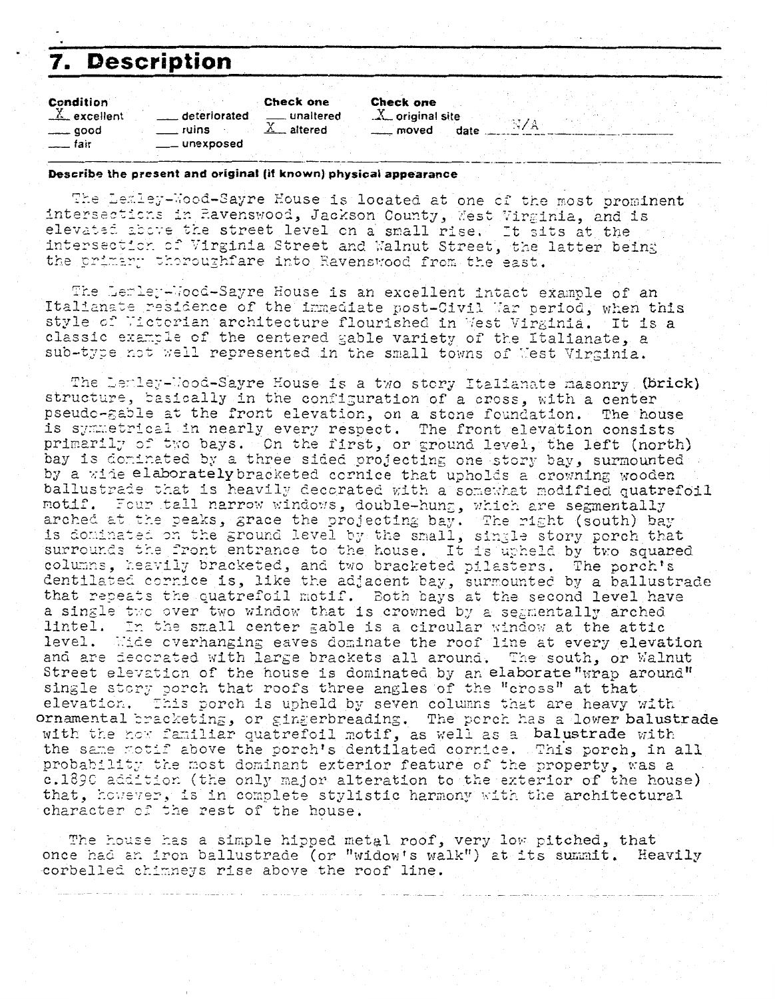# **Description**

| <b>Condition</b> |                | Check one            | <b>Check one</b>                           |
|------------------|----------------|----------------------|--------------------------------------------|
| $X$ excellent    | deteriorated   |                      | $X$ original site                          |
| $\equiv$ good    | ruins          | $\mathbb{X}$ altered | <sub>___</sub> moved<br>date $\frac{1}{2}$ |
| tair t           | ____ unexposed |                      |                                            |

#### Describe the present and original (if known) physical appearance

The Lemley-Wood-Sayre House is located at one of the most prominent intersections in Ravenswood, Jackson County, West Virginia, and is elevated above the street level on a small rise. It sits at the intersection of Virginia Street and Walnut Street, the latter being the primary thoroughfare into Ravenswood from the east.

N/A

The Lemley-Wood-Sayre House is an excellent intact example of an Italianate residence of the immediate post-Civil Mar period, when this style of Wictorian architecture flourished in West Virginia. It is a classic example of the centered gable variety of the Italianate, a sub-type not well represented in the small towns of Mest Virginia.

The Lemley-Nood-Sayre House is a two story Italianate masonry (brick) structure, basically in the configuration of a cross, with a center pseudo-gable at the front elevation, on a stone foundation. The house is symmetrical in nearly every respect. The front elevation consists primarily of two bays. On the first, or ground level, the left (north) bay is dominated by a three sided projecting one story bay, surmounted by a wide elaborately bracketed cornice that upholds a crowning wooden ballustrade that is heavily decorated with a somewhat modified quatrefoil motif. Four tall narrow windows, double-hung, which are segmentally arched at the peaks, grace the projecting bay. The right (south) bay is dominated on the ground level by the small, single story porch that surrounds the front entrance to the house. It is upheld by two squared columns, heavily bracketed, and two bracketed pilasters. The porch's dentilated cornice is, like the adjacent bay, surmounted by a ballustrade that repeats the quatrefoil motif. Both bays at the second level have a single two over two window that is crowned by a segmentally arched lintel. In the small center gable is a circular window at the attic level. Wide overhanging eaves dominate the roof line at every elevation and are decorated with large brackets all around. The south, or Walnut Street elevation of the house is dominated by an elaborate "wrap around" single story porch that roofs three angles of the "cross" at that elevation. This porch is upheld by seven columns that are heavy with ornamental pracketing, or gingerbreading. The porch has a lower balustrade with the now familiar quatrefoil motif, as well as a balustrade with the same motif above the porch's dentilated cornice. This porch, in all probability the most dominant exterior feature of the property, was a c.1890 addition (the only major alteration to the exterior of the house) that, however, is in complete stylistic harmony with the architectural character of the rest of the house.

The house has a simple hipped metal roof, very low pitched, that once had an iron ballustrade (or "widow's walk") at its summit. Heavily corbelled chimneys rise above the roof line.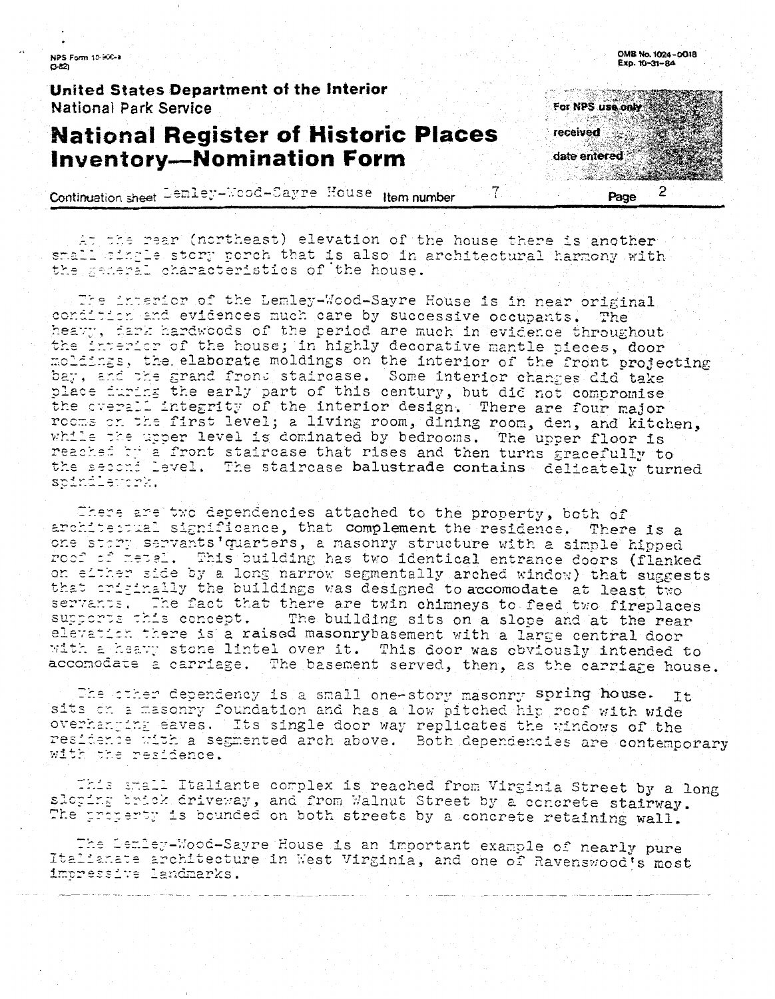NPS Form 10-900-a  $0.22$ 

United States Department of the Interior **National Park Service** 

## **National Register of Historic Places Inventory-Nomination Form**

Continuation sheet Lemley-Wood-Sayre House Item number

At the rear (northeast) elevation of the house there is another small wingle story porch that is also in architectural harmony with the meneral characteristics of the house.

The interior of the Lemley-Wood-Sayre House is in near original. condition and evidences much care by successive occupants. The heavy, dark hardwoods of the period are much in evidence throughout the interior of the house; in highly decorative mantle pieces, door moldings, the elaborate moldings on the interior of the front projecting bay, and the grand front staircase. Some interior changes did take place furing the early part of this century, but did not compromise rooms on the first level; a living room, dining room, den, and kitchen, while the upper level is dominated by bedrooms. The upper floor is reached by a front staircase that rises and then turns gracefully to the second level. The staircase balustrade contains delicately turned spindlework.

There are two dependencies attached to the property, both of architectual significance, that complement the residence. There is a one story servants quarters, a masonry structure with a simple hipped roof of metal. This building has two identical entrance doors (flanked on either side by a long narrow segmentally arched window) that suggests that criginally the buildings was designed to accomodate at least two servants. The fact that there are twin chimneys to feed two fireplaces supports this concept. The building sits on a slope and at the rear elevation there is a raised masonrybasement with a large central door with a heavy stone lintel over it. This door was obviously intended to accomodate a carriage. The basement served, then, as the carriage house.

The other dependency is a small one-story masonry spring house. Īt sits on a masonry foundation and has a low pitched hip reof with wide overhanging eaves. Its single door way replicates the windows of the residence with a segmented arch above. Both dependencies are contemporary with the residence.

This small Italiante complex is reached from Virginia Street by a long sloping brick driveway, and from Walnut Street by a concrete stairway. The property is bounded on both streets by a concrete retaining wall.

The Lemley-Wood-Sayre House is an important example of nearly pure Italianate architecture in West Virginia, and one of Ravenswood's most impressive landmarks.



OMB No. 1024-0018

For NPS use only received date entered 2

7

Page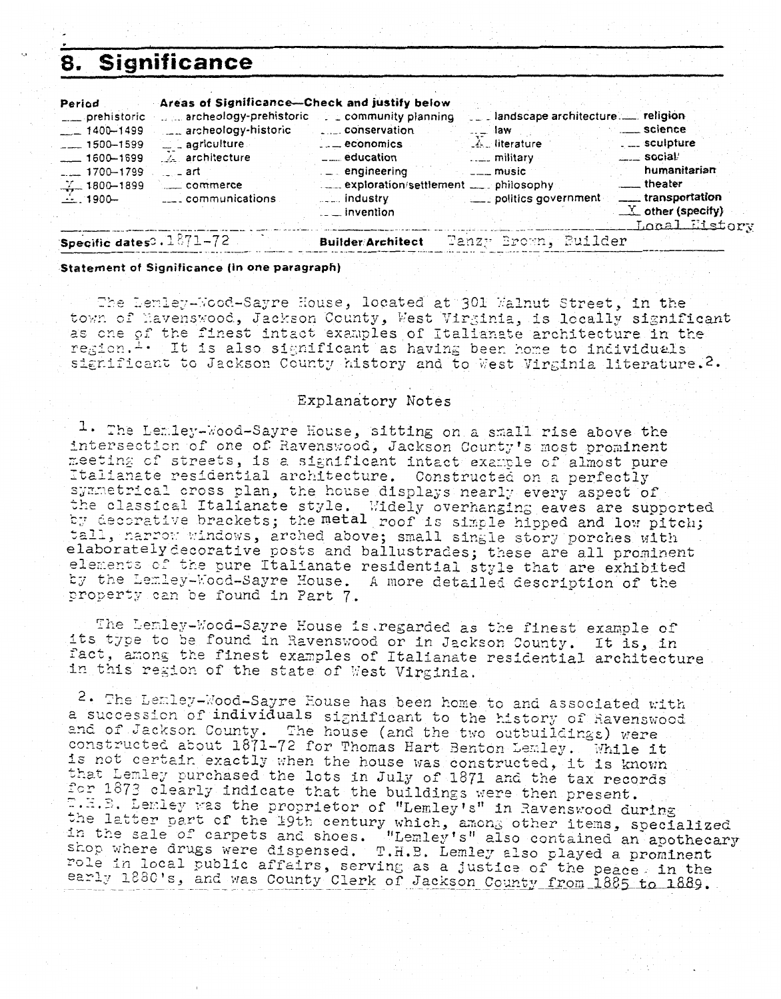# **Significance**

| Period<br>__ prehistoric                    | Areas of Significance-Check and justify below | archeology-prehistoric community planning                      | __ landscape architecture. __ religion   |                                                             |
|---------------------------------------------|-----------------------------------------------|----------------------------------------------------------------|------------------------------------------|-------------------------------------------------------------|
| $-1400 - 1499$<br>$-$ 1500-1599             | archeology-historic<br>Les agriculture        | $\overline{a}$ = $\overline{a}$ economics                      | $\ldots$ law<br>$\mathcal{A}$ literature | science<br>. <sub>--</sub> sculpture                        |
| $-1600 - 1699$                              | A architecture                                | $\frac{1}{2}$ education                                        | $\ldots$ military                        | $\frac{1}{2}$ social'<br>humanitarian                       |
| $-1700 - 1799$<br>$\frac{V}{100}$ 1800-1899 | —— art<br>commerce                            | $\mathsf{L}$ engineering<br>exploration/settlement  philosophy | $---$ music                              | <u>_</u> __theater                                          |
| $-1900$                                     | subsequent communications                     | <sub>- -</sub> industry<br>$\_$ invention                      | politics government                      | ____ transportation<br>$X$ other (specify)<br>Local Eistery |
| Specific dates: . 1871-72                   |                                               | <b>Builder Architect</b>                                       | Tanzy Brown, Builder                     |                                                             |

Statement of Significance (in one paragraph)

The Lemley-Wood-Sayre House, located at 301 Walnut Street, in the town of Navenswood, Jackson County, West Virginia, is locally significant as one of the finest intact examples of Italianate architecture in the region.<sup>1</sup> . It is also significant as having been home to individuals significant to Jackson County history and to West Virginia literature. 2.

### Explanatory Notes

1. The Lemley-Wood-Sayre House, sitting on a small rise above the intersection of one of Ravenswood, Jackson County's most prominent meeting of streets, is a significant intact example of almost pure Italianate residential architecture. Constructed on a perfectly symmetrical cross plan, the house displays nearly every aspect of the classical Italianate style. Widely overhanging eaves are supported by decorative brackets; the metal roof is simple hipped and low pitch; tall, narrow windows, arched above; small single story porches with elaborately decorative posts and ballustrades; these are all prominent elements of the pure Italianate residential style that are exhibited by the Lemley-Wood-Sayre House. A more detailed description of the property can be found in Part 7.

The Lemley-Wood-Sayre House is regarded as the finest example of its type to be found in Ravenswood or in Jackson County. It is, in fact, among the finest examples of Italianate residential architecture in this region of the state of West Virginia.

2. The Lemley-Wood-Sayre House has been home to and associated with a succession of individuals significant to the history of Ravenswood and of Jackson County. The house (and the two outbuildings) were constructed about 1871-72 for Thomas Hart Benton Lemley. While it is not certain exactly when the house was constructed, it is known that Lemley purchased the lots in July of 1871 and the tax records<br>for 1873 clearly indicate that the buildings were then present. T.E.B. Lemley was the proprietor of "Lemley's" in Ravenswood during the latter part of the 19th century which, among other items, specialized<br>in the sale of carpets and shoes. "Lemley's" also contained an apothecary<br>shop where drugs were dispensed. T.H.B. Lemley also played a prominent role in local public affairs, serving as a justice of the peace, in the early 1880's, and was County Clerk of Jackson County from 1885 to 1889.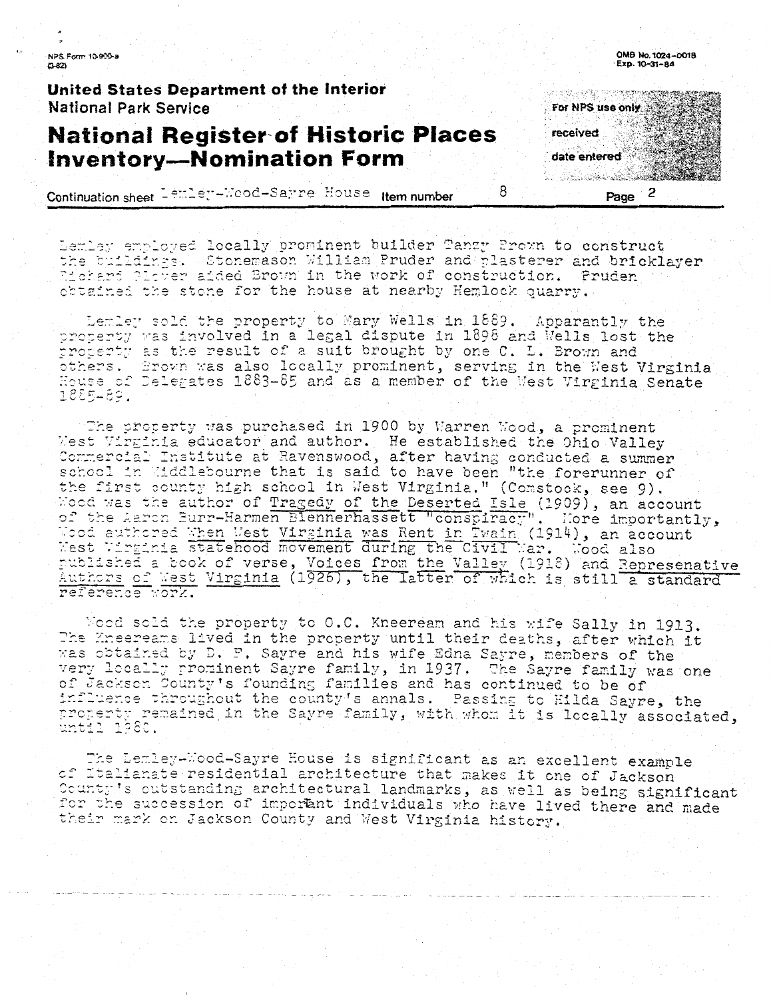NPS Form 10-900-a  $7-821$ 

United States Department of the Interior National Park Service

### **National Register of Historic Places Inventory-Nomination Form**

Continuation sheet Lember-Mood-Sarre House Item number

Lemley employed locally prominent builder Tanzy Prown to construct the buildings. Stonemason William Pruder and plasterer and bricklayer Eichard Plever aided Brown in the work of construction. Pruden obtained the stone for the house at nearby Hemlock quarry.

Lemley sold the property to Mary Wells in 1889. Apparantly the property was involved in a legal dispute in 1898 and Wells lost the property as the result of a suit brought by one C. L. Brown and others. Brown was also locally prominent, serving in the West Virginia 1885489.

The property was purchased in 1900 by Warren Wood, a prominent West Virginia educator and author. He established the Ohio Valley Commercial Institute at Ravenswood, after having conducted a summer school in Hiddlebourne that is said to have been "the forerunner of the first county high school in West Virginia." (Comstock, see 9). Wood was the author of Tragedy of the Deserted Isle (1909), an account of the Aaron Burr-Harmen Blennerhassett "conspiracy". Hore importantly, Wood authored When West Virginia was Rent in Twain (1914), an account West Virginia was Rent in Twain (1914), an account published a book of verse, Voices from the Valley (1918) and Represenative Authors of West Virginia (1926), the latter of which is still a standard

Nood sold the property to 0.C. Kneeream and his wife Sally in 1913. The Eneereams lived in the property until their deaths, after which it was obtained by D. F. Sayre and his wife Edna Sayre, members of the very locally prominent Sayre family, in 1937. The Sayre family was one of Jackson County's founding families and has continued to be of influence throughout the county's annals. Passing to Hilda Sayre, the property remained in the Sayre family, with whom it is locally associated, until 1980.

The Lemley-Mood-Sayre House is significant as an excellent example of Italianate residential architecture that makes it one of Jackson County's outstanding architectural landmarks, as well as being significant for the succession of important individuals who have lived there and made their mark on Jackson County and West Virginia history.

OMB No. 1024-0018 Exp. 10-31-84



Page

8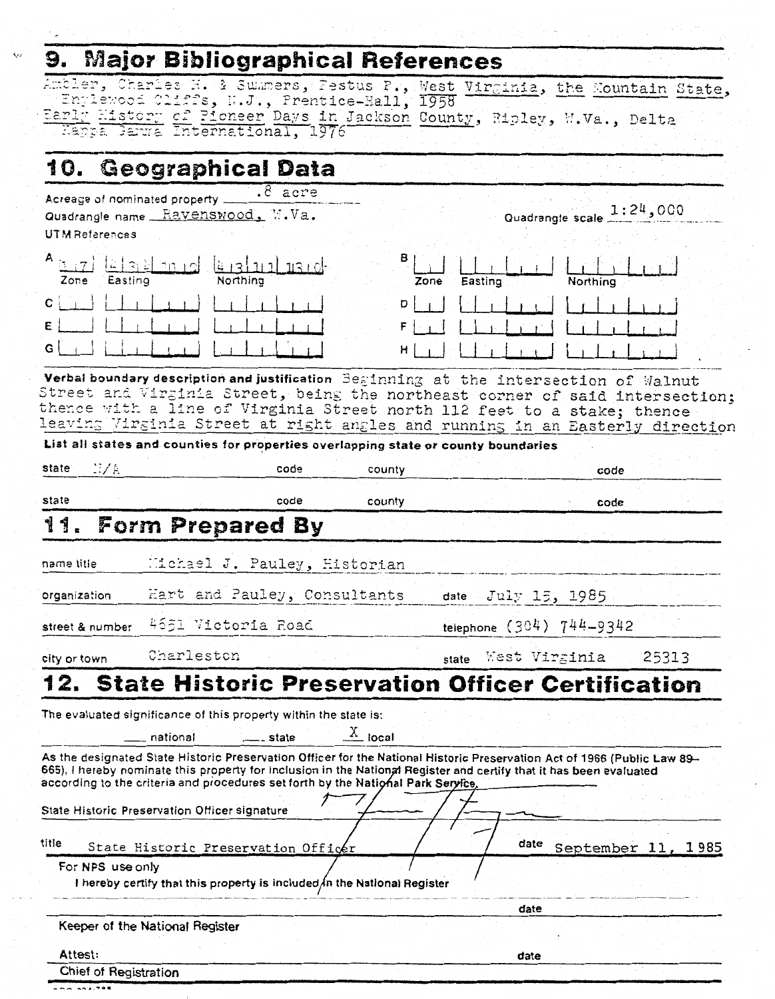#### Maior Bibliographical Reference  $\bullet$  $\mathbf{r}$

 $\checkmark$ 

|                       | J. Majvi DIVIIVYIQUIILAI NCICICILLES                                               |           |           |                      |                                                                                                                                                                                                                                                 |  |
|-----------------------|------------------------------------------------------------------------------------|-----------|-----------|----------------------|-------------------------------------------------------------------------------------------------------------------------------------------------------------------------------------------------------------------------------------------------|--|
|                       |                                                                                    |           |           |                      | Ambler, Charles H. & Summers, Pestus P., West Virginia, the Mountain State,                                                                                                                                                                     |  |
|                       | "Englewood Cliffs, N.J., Prentice-Hall, 1958                                       |           |           |                      |                                                                                                                                                                                                                                                 |  |
|                       | Happa Sarma International, 1976                                                    |           |           |                      | Early History of Pioneer Days in Jackson County, Ripley, W.Va., Delta                                                                                                                                                                           |  |
|                       |                                                                                    |           |           |                      |                                                                                                                                                                                                                                                 |  |
|                       | 10. Geographical Data                                                              |           |           |                      |                                                                                                                                                                                                                                                 |  |
|                       | Acreage of nominated property                                                      | $8$ acre  |           |                      |                                                                                                                                                                                                                                                 |  |
|                       | Quadrangle name Ravenswood, M.Va.                                                  |           |           |                      | Quadrangle scale 1:24,000                                                                                                                                                                                                                       |  |
| UTM References        |                                                                                    |           |           |                      |                                                                                                                                                                                                                                                 |  |
| Zone<br>Easting       | $\lfloor 2 \rfloor$ and $\lfloor 2 \rfloor$<br>Northing                            | 431111130 | B         | Easting<br>Zone      | Northing                                                                                                                                                                                                                                        |  |
| $C \nightharpoonup$   |                                                                                    |           | DII       |                      |                                                                                                                                                                                                                                                 |  |
|                       |                                                                                    |           | FI        |                      |                                                                                                                                                                                                                                                 |  |
| G                     |                                                                                    |           | н         |                      |                                                                                                                                                                                                                                                 |  |
|                       |                                                                                    |           |           |                      | Verbal boundary description and justification Beginning at the intersection of Walnut                                                                                                                                                           |  |
|                       |                                                                                    |           |           |                      | Street and Virginia Street, being the northeast corner of said intersection;                                                                                                                                                                    |  |
|                       |                                                                                    |           |           |                      | thence with a line of Virginia Street north 112 feet to a stake; thence<br>leaving Virginia Street at right angles and running in an Easterly direction                                                                                         |  |
|                       | List all states and counties for properties overlapping state or county boundaries |           |           |                      |                                                                                                                                                                                                                                                 |  |
| N/A<br>state          |                                                                                    | code      |           |                      |                                                                                                                                                                                                                                                 |  |
|                       |                                                                                    |           | county    |                      | code                                                                                                                                                                                                                                            |  |
| state                 |                                                                                    | code      | county    |                      | code                                                                                                                                                                                                                                            |  |
| name title            | Michael J. Pauley, Historian                                                       |           |           |                      |                                                                                                                                                                                                                                                 |  |
| organization          | Hart and Pauley, Consultants                                                       |           |           | date July $15, 1985$ |                                                                                                                                                                                                                                                 |  |
|                       | street & number 4651 Victoria Road                                                 |           |           |                      | telephone (304) 744-9342                                                                                                                                                                                                                        |  |
| city or town          | Charleston                                                                         |           |           | state                | 25313<br>West Virginia                                                                                                                                                                                                                          |  |
| 12.                   |                                                                                    |           |           |                      | <b>State Historic Preservation Officer Certification</b>                                                                                                                                                                                        |  |
|                       | The evaluated significance of this property within the state is:                   |           |           |                      |                                                                                                                                                                                                                                                 |  |
|                       | __ national                                                                        | __ state  | $X$ local |                      |                                                                                                                                                                                                                                                 |  |
|                       | according to the criteria and procedures set forth by the National Park Service,   |           |           |                      | As the designated State Historic Preservation Officer for the National Historic Preservation Act of 1966 (Public Law 89-<br>665), I hereby nominate this property for inclusion in the National Register and certify that it has been evaluated |  |
|                       |                                                                                    |           |           |                      |                                                                                                                                                                                                                                                 |  |
|                       | State Historic Preservation Officer signature                                      |           |           |                      |                                                                                                                                                                                                                                                 |  |
| title                 | State Historic Preservation Officer                                                |           |           | date                 | September 11, 1985                                                                                                                                                                                                                              |  |
| For NPS use only      |                                                                                    |           |           |                      |                                                                                                                                                                                                                                                 |  |
|                       | I hereby certify that this property is included in the National Register           |           |           |                      |                                                                                                                                                                                                                                                 |  |
|                       |                                                                                    |           |           | date                 |                                                                                                                                                                                                                                                 |  |
|                       | Keeper of the National Register                                                    |           |           |                      |                                                                                                                                                                                                                                                 |  |
| Attest:               |                                                                                    |           |           |                      |                                                                                                                                                                                                                                                 |  |
| Chief of Registration |                                                                                    |           |           | date                 |                                                                                                                                                                                                                                                 |  |
|                       |                                                                                    |           |           |                      |                                                                                                                                                                                                                                                 |  |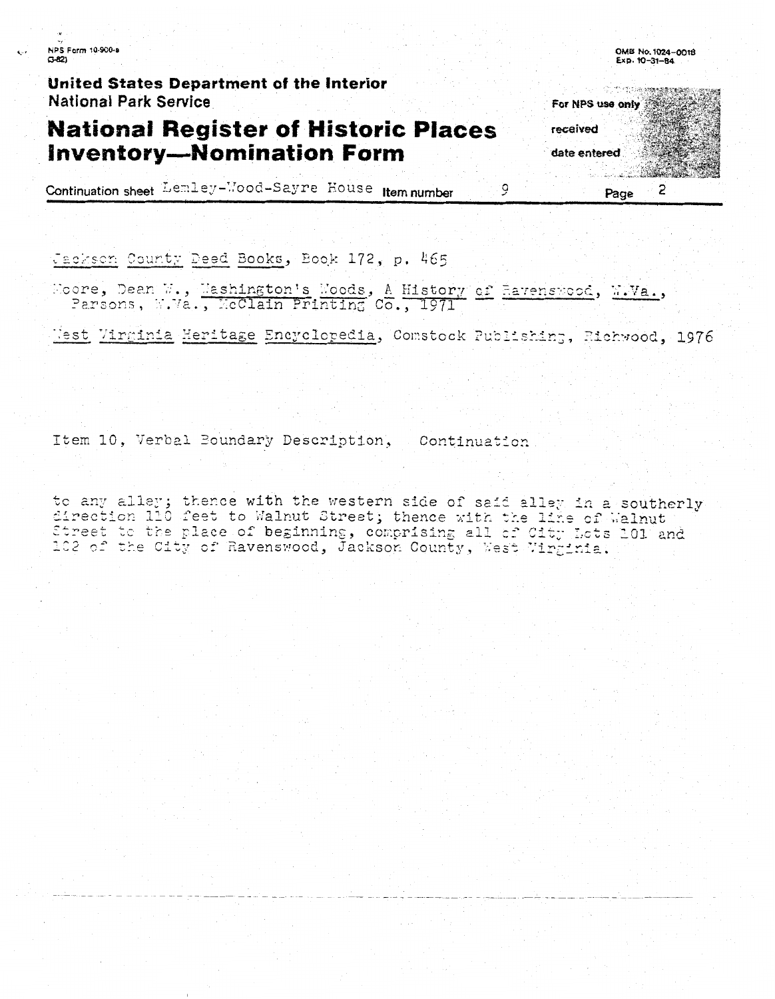NPS Form 10-900-a  $C-82$ 

United States Department of the Interior **National Park Service** 

### **National Register of Historic Places Inventory-Nomination Form**

Continuation sheet Lemley-Wood-Sayre House Item number

Jackson County Deed Books, Book 172, p. 465

Moore, Dean W., Mashington's Moods, A History of Havenswood, M.Va., Parsons, W.Va., McClain Printing Co., 1971

Jest Virginia Heritage Encyclopedia, Comstock Publishing, Richwood, 1976

Item 10, Verbal Boundary Description, Continuation

to any alley; thence with the western side of said alley in a southerly direction 110 feet to Walnut Street; thence with the line of Walnut Street to the place of beginning, comprising all of City Lots 101 and 102 of the City of Ravenswood, Jackson County, West Virginia.

**Commission of the American State** For NPS use only received date entered  $\overline{2}$ Page

9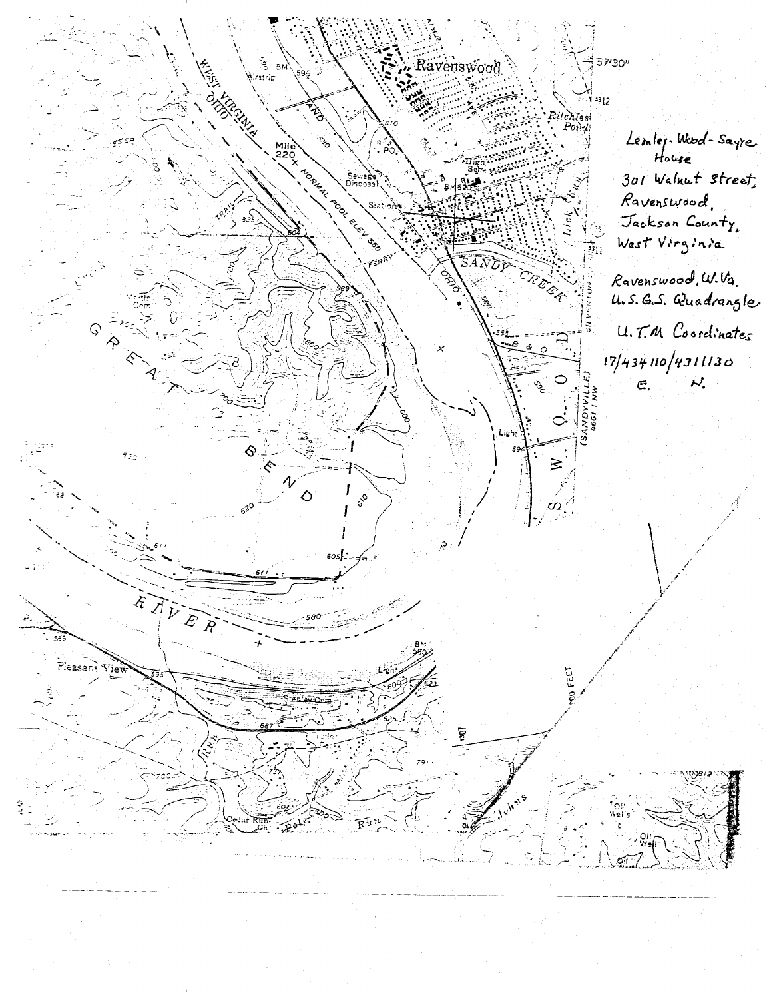